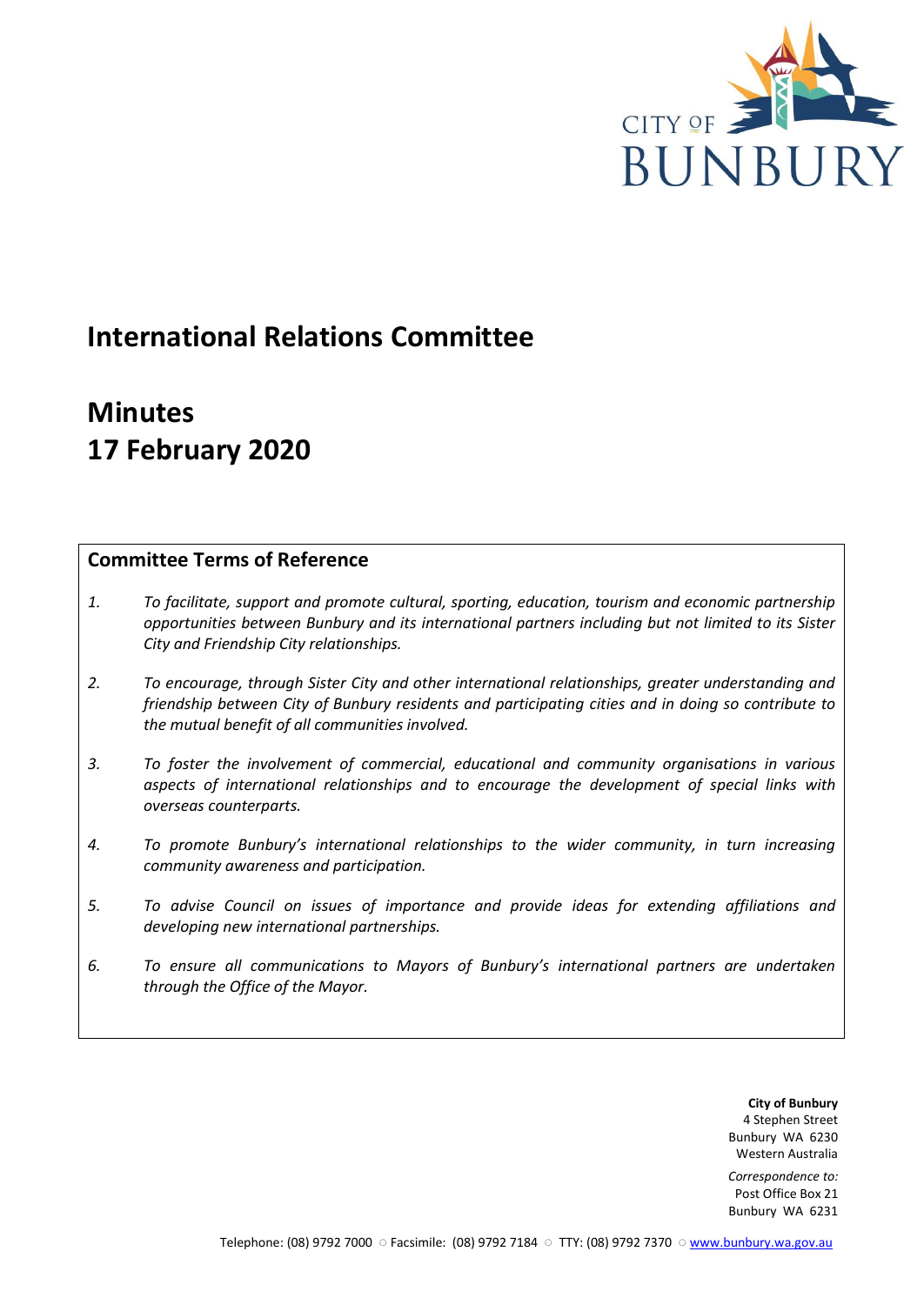

# **International Relations Committee**

# **Minutes 17 February 2020**

# **Committee Terms of Reference**

- *1. To facilitate, support and promote cultural, sporting, education, tourism and economic partnership opportunities between Bunbury and its international partners including but not limited to its Sister City and Friendship City relationships.*
- *2. To encourage, through Sister City and other international relationships, greater understanding and friendship between City of Bunbury residents and participating cities and in doing so contribute to the mutual benefit of all communities involved.*
- *3. To foster the involvement of commercial, educational and community organisations in various aspects of international relationships and to encourage the development of special links with overseas counterparts.*
- *4. To promote Bunbury's international relationships to the wider community, in turn increasing community awareness and participation.*
- *5. To advise Council on issues of importance and provide ideas for extending affiliations and developing new international partnerships.*
- *6. To ensure all communications to Mayors of Bunbury's international partners are undertaken through the Office of the Mayor.*

**City of Bunbury** 4 Stephen Street Bunbury WA 6230 Western Australia

*Correspondence to:* Post Office Box 21 Bunbury WA 6231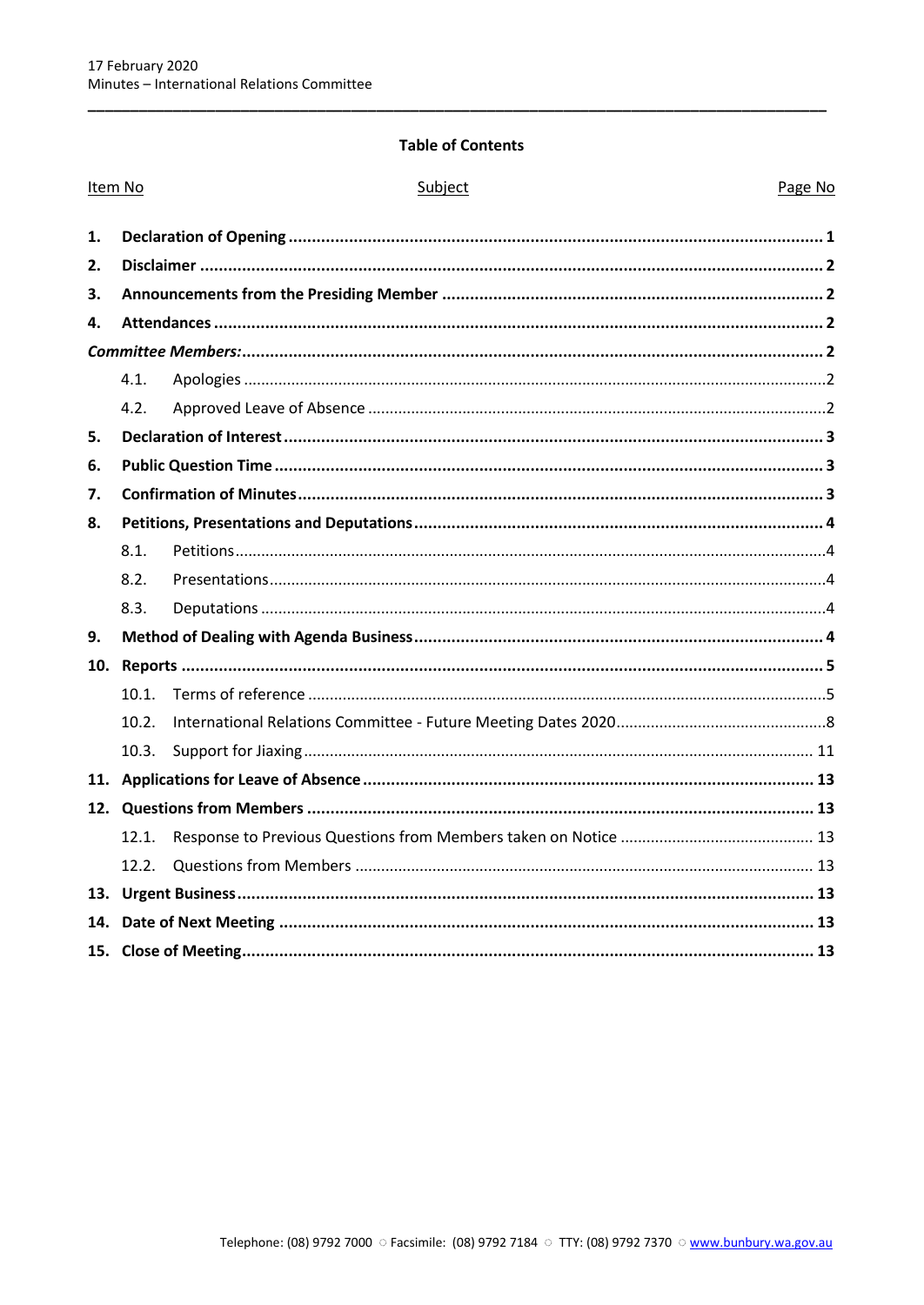## **Table of Contents**

| Item No |       | Subject | Page No |  |
|---------|-------|---------|---------|--|
| 1.      |       |         |         |  |
| 2.      |       |         |         |  |
| З.      |       |         |         |  |
| 4.      |       |         |         |  |
|         |       |         |         |  |
|         | 4.1.  |         |         |  |
|         | 4.2.  |         |         |  |
| 5.      |       |         |         |  |
| 6.      |       |         |         |  |
| 7.      |       |         |         |  |
| 8.      |       |         |         |  |
|         | 8.1.  |         |         |  |
|         | 8.2.  |         |         |  |
|         | 8.3.  |         |         |  |
| 9.      |       |         |         |  |
| 10.     |       |         |         |  |
|         | 10.1. |         |         |  |
|         | 10.2. |         |         |  |
|         | 10.3. |         |         |  |
|         |       |         |         |  |
|         |       |         |         |  |
|         | 12.1. |         |         |  |
|         | 12.2. |         |         |  |
|         |       |         |         |  |
| 14.     |       |         |         |  |
|         |       |         |         |  |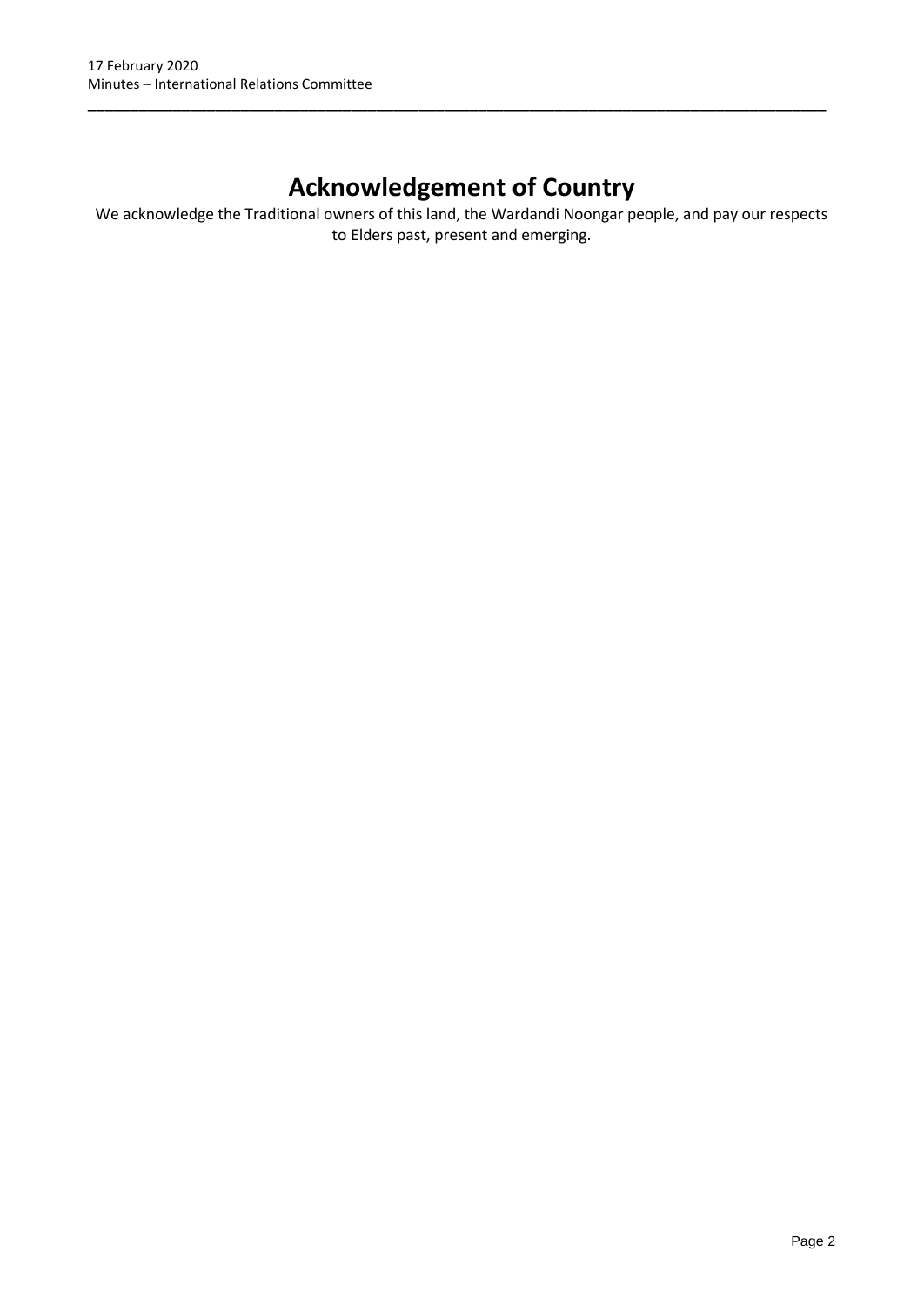# **Acknowledgement of Country**

**\_\_\_\_\_\_\_\_\_\_\_\_\_\_\_\_\_\_\_\_\_\_\_\_\_\_\_\_\_\_\_\_\_\_\_\_\_\_\_\_\_\_\_\_\_\_\_\_\_\_\_\_\_\_\_\_\_\_\_\_\_\_\_\_\_\_\_\_\_\_\_\_\_\_\_\_\_\_\_\_\_\_\_\_\_\_\_**

We acknowledge the Traditional owners of this land, the Wardandi Noongar people, and pay our respects to Elders past, present and emerging.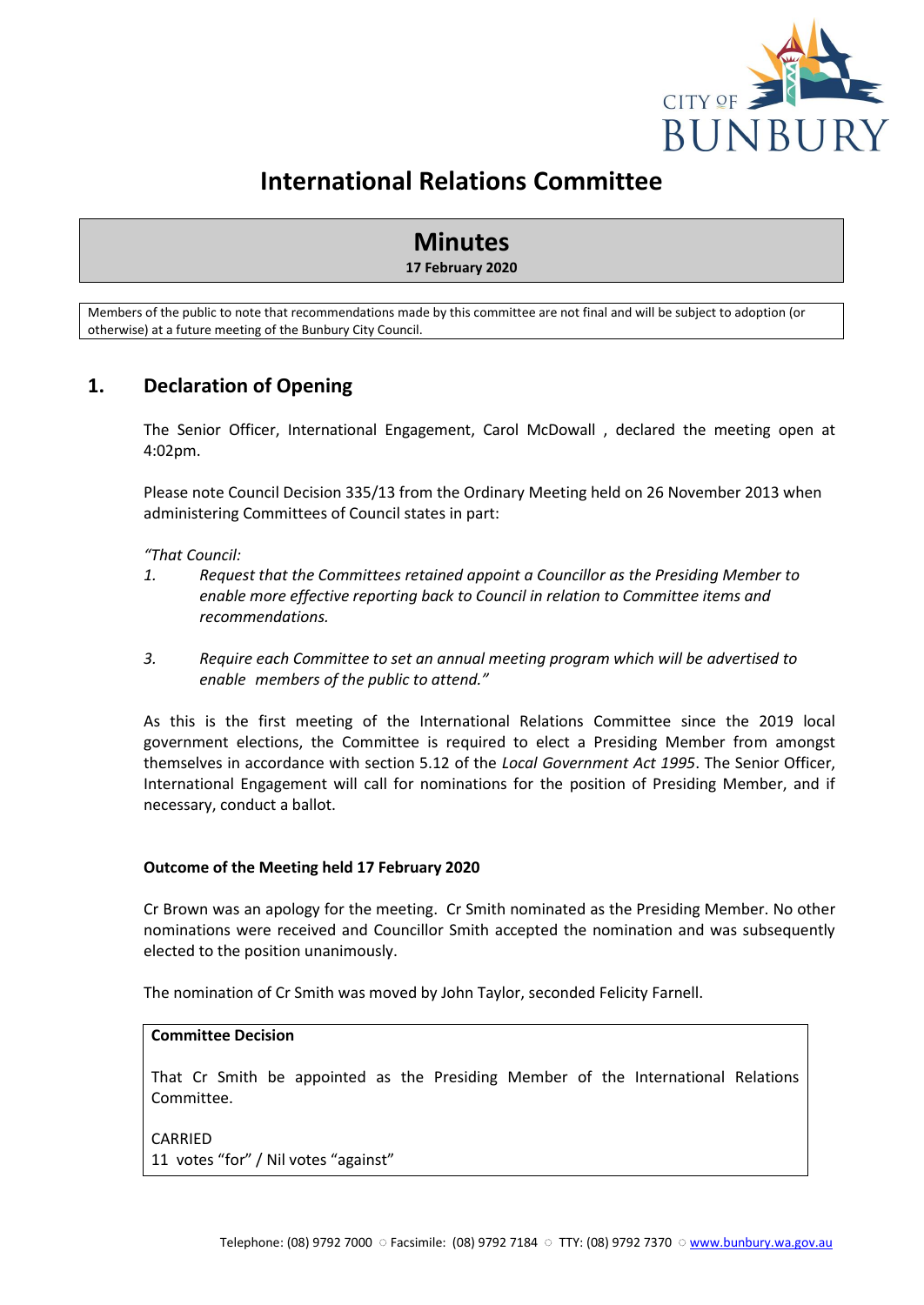

# **International Relations Committee**

# **Minutes**

# **17 February 2020**

Members of the public to note that recommendations made by this committee are not final and will be subject to adoption (or otherwise) at a future meeting of the Bunbury City Council.

# <span id="page-3-0"></span>**1. Declaration of Opening**

The Senior Officer, International Engagement, Carol McDowall , declared the meeting open at 4:02pm.

Please note Council Decision 335/13 from the Ordinary Meeting held on 26 November 2013 when administering Committees of Council states in part:

*"That Council:* 

- *1. Request that the Committees retained appoint a Councillor as the Presiding Member to enable more effective reporting back to Council in relation to Committee items and recommendations.*
- *3. Require each Committee to set an annual meeting program which will be advertised to enable members of the public to attend."*

As this is the first meeting of the International Relations Committee since the 2019 local government elections, the Committee is required to elect a Presiding Member from amongst themselves in accordance with section 5.12 of the *Local Government Act 1995*. The Senior Officer, International Engagement will call for nominations for the position of Presiding Member, and if necessary, conduct a ballot.

## **Outcome of the Meeting held 17 February 2020**

Cr Brown was an apology for the meeting. Cr Smith nominated as the Presiding Member. No other nominations were received and Councillor Smith accepted the nomination and was subsequently elected to the position unanimously.

The nomination of Cr Smith was moved by John Taylor, seconded Felicity Farnell.

#### **Committee Decision**

That Cr Smith be appointed as the Presiding Member of the International Relations Committee.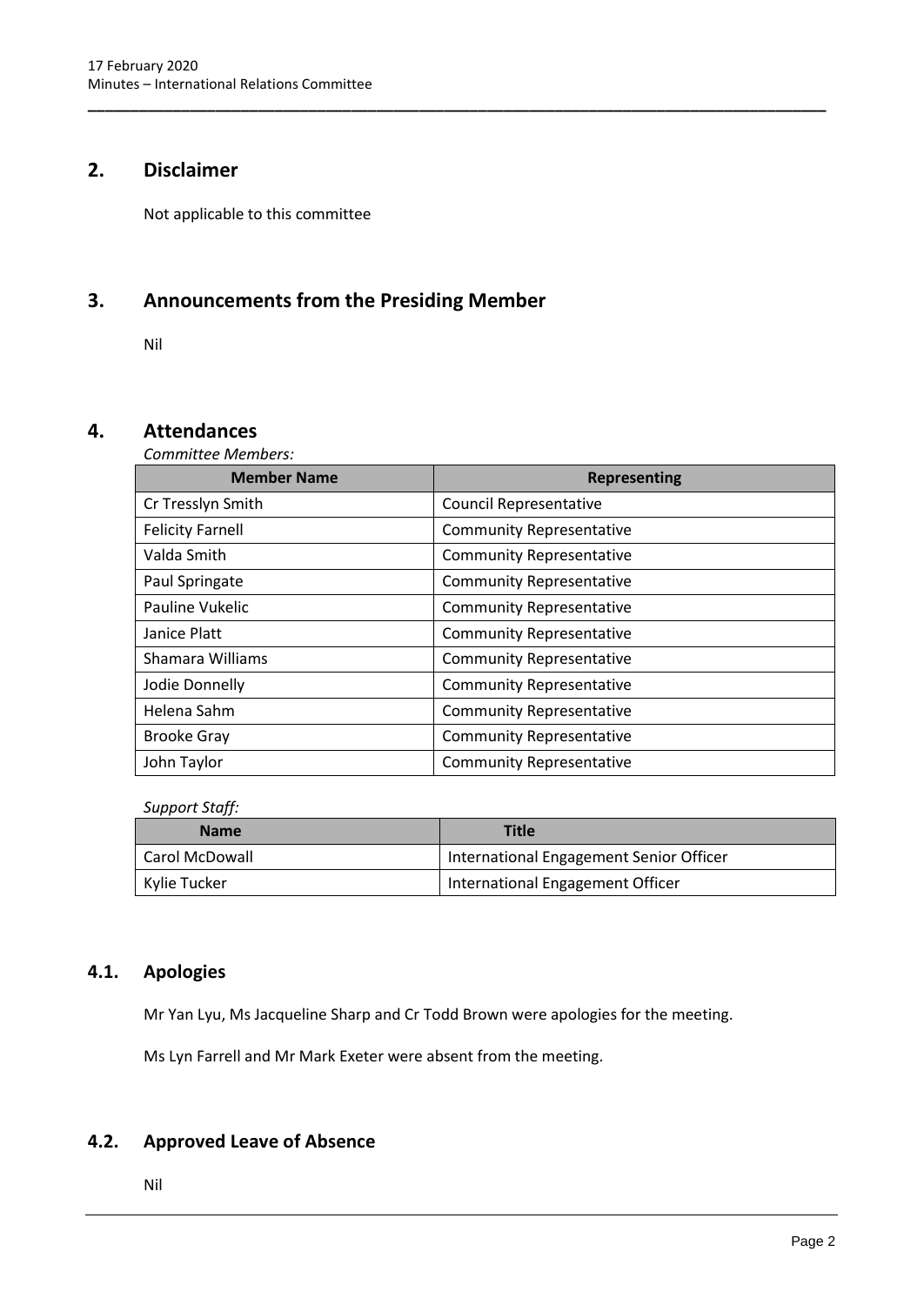# <span id="page-4-0"></span>**2. Disclaimer**

Not applicable to this committee

# <span id="page-4-1"></span>**3. Announcements from the Presiding Member**

Nil

# <span id="page-4-3"></span><span id="page-4-2"></span>**4. Attendances**

*Committee Members:*

| <b>Member Name</b>      | <b>Representing</b>             |  |  |
|-------------------------|---------------------------------|--|--|
| Cr Tresslyn Smith       | <b>Council Representative</b>   |  |  |
| <b>Felicity Farnell</b> | <b>Community Representative</b> |  |  |
| Valda Smith             | <b>Community Representative</b> |  |  |
| Paul Springate          | <b>Community Representative</b> |  |  |
| Pauline Vukelic         | <b>Community Representative</b> |  |  |
| Janice Platt            | <b>Community Representative</b> |  |  |
| Shamara Williams        | <b>Community Representative</b> |  |  |
| Jodie Donnelly          | <b>Community Representative</b> |  |  |
| Helena Sahm             | <b>Community Representative</b> |  |  |
| <b>Brooke Gray</b>      | <b>Community Representative</b> |  |  |
| John Taylor             | <b>Community Representative</b> |  |  |

**\_\_\_\_\_\_\_\_\_\_\_\_\_\_\_\_\_\_\_\_\_\_\_\_\_\_\_\_\_\_\_\_\_\_\_\_\_\_\_\_\_\_\_\_\_\_\_\_\_\_\_\_\_\_\_\_\_\_\_\_\_\_\_\_\_\_\_\_\_\_\_\_\_\_\_\_\_\_\_\_\_\_\_\_\_\_\_**

*Support Staff:*

| <b>Name</b>    | <b>Title</b>                            |
|----------------|-----------------------------------------|
| Carol McDowall | International Engagement Senior Officer |
| Kylie Tucker   | International Engagement Officer        |

# <span id="page-4-4"></span>**4.1. Apologies**

Mr Yan Lyu, Ms Jacqueline Sharp and Cr Todd Brown were apologies for the meeting.

Ms Lyn Farrell and Mr Mark Exeter were absent from the meeting.

# <span id="page-4-5"></span>**4.2. Approved Leave of Absence**

Nil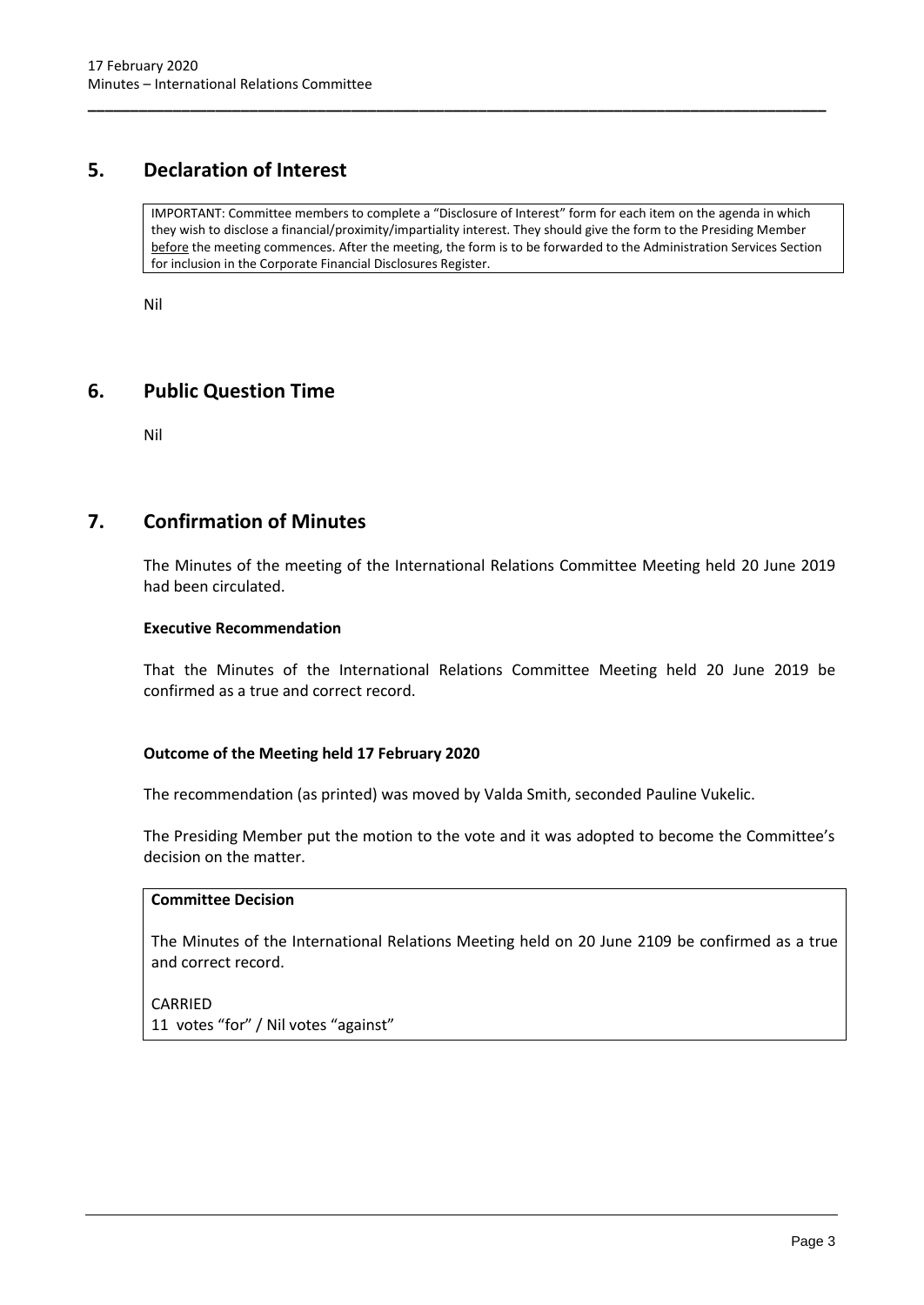# <span id="page-5-0"></span>**5. Declaration of Interest**

IMPORTANT: Committee members to complete a "Disclosure of Interest" form for each item on the agenda in which they wish to disclose a financial/proximity/impartiality interest. They should give the form to the Presiding Member before the meeting commences. After the meeting, the form is to be forwarded to the Administration Services Section for inclusion in the Corporate Financial Disclosures Register.

**\_\_\_\_\_\_\_\_\_\_\_\_\_\_\_\_\_\_\_\_\_\_\_\_\_\_\_\_\_\_\_\_\_\_\_\_\_\_\_\_\_\_\_\_\_\_\_\_\_\_\_\_\_\_\_\_\_\_\_\_\_\_\_\_\_\_\_\_\_\_\_\_\_\_\_\_\_\_\_\_\_\_\_\_\_\_\_**

Nil

# <span id="page-5-1"></span>**6. Public Question Time**

Nil

# <span id="page-5-2"></span>**7. Confirmation of Minutes**

The Minutes of the meeting of the International Relations Committee Meeting held 20 June 2019 had been circulated.

## **Executive Recommendation**

That the Minutes of the International Relations Committee Meeting held 20 June 2019 be confirmed as a true and correct record.

# **Outcome of the Meeting held 17 February 2020**

The recommendation (as printed) was moved by Valda Smith, seconded Pauline Vukelic.

The Presiding Member put the motion to the vote and it was adopted to become the Committee's decision on the matter.

## **Committee Decision**

The Minutes of the International Relations Meeting held on 20 June 2109 be confirmed as a true and correct record.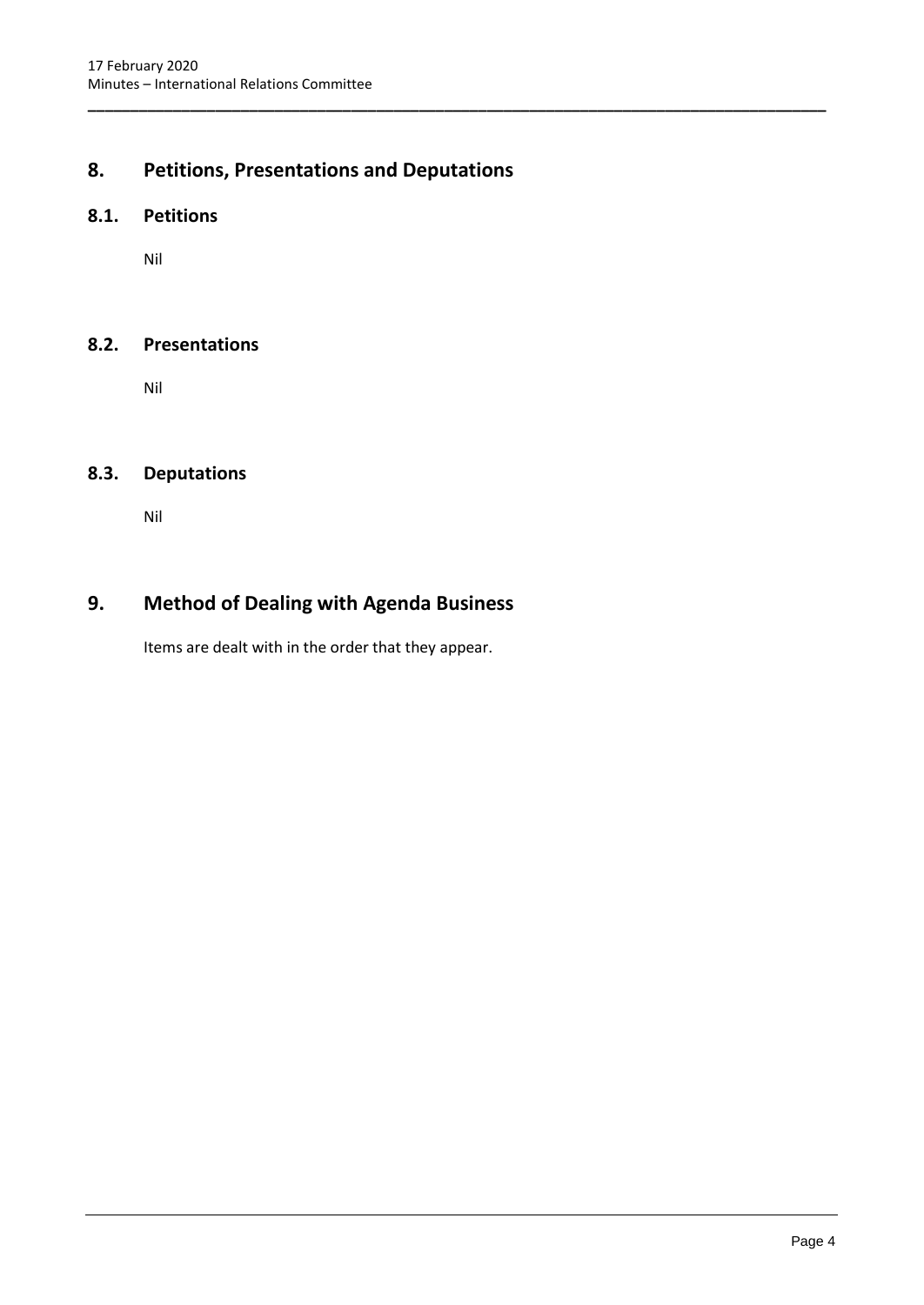# <span id="page-6-0"></span>**8. Petitions, Presentations and Deputations**

**\_\_\_\_\_\_\_\_\_\_\_\_\_\_\_\_\_\_\_\_\_\_\_\_\_\_\_\_\_\_\_\_\_\_\_\_\_\_\_\_\_\_\_\_\_\_\_\_\_\_\_\_\_\_\_\_\_\_\_\_\_\_\_\_\_\_\_\_\_\_\_\_\_\_\_\_\_\_\_\_\_\_\_\_\_\_\_**

# <span id="page-6-1"></span>**8.1. Petitions**

Nil

# <span id="page-6-2"></span>**8.2. Presentations**

Nil

# <span id="page-6-3"></span>**8.3. Deputations**

Nil

# <span id="page-6-4"></span>**9. Method of Dealing with Agenda Business**

Items are dealt with in the order that they appear.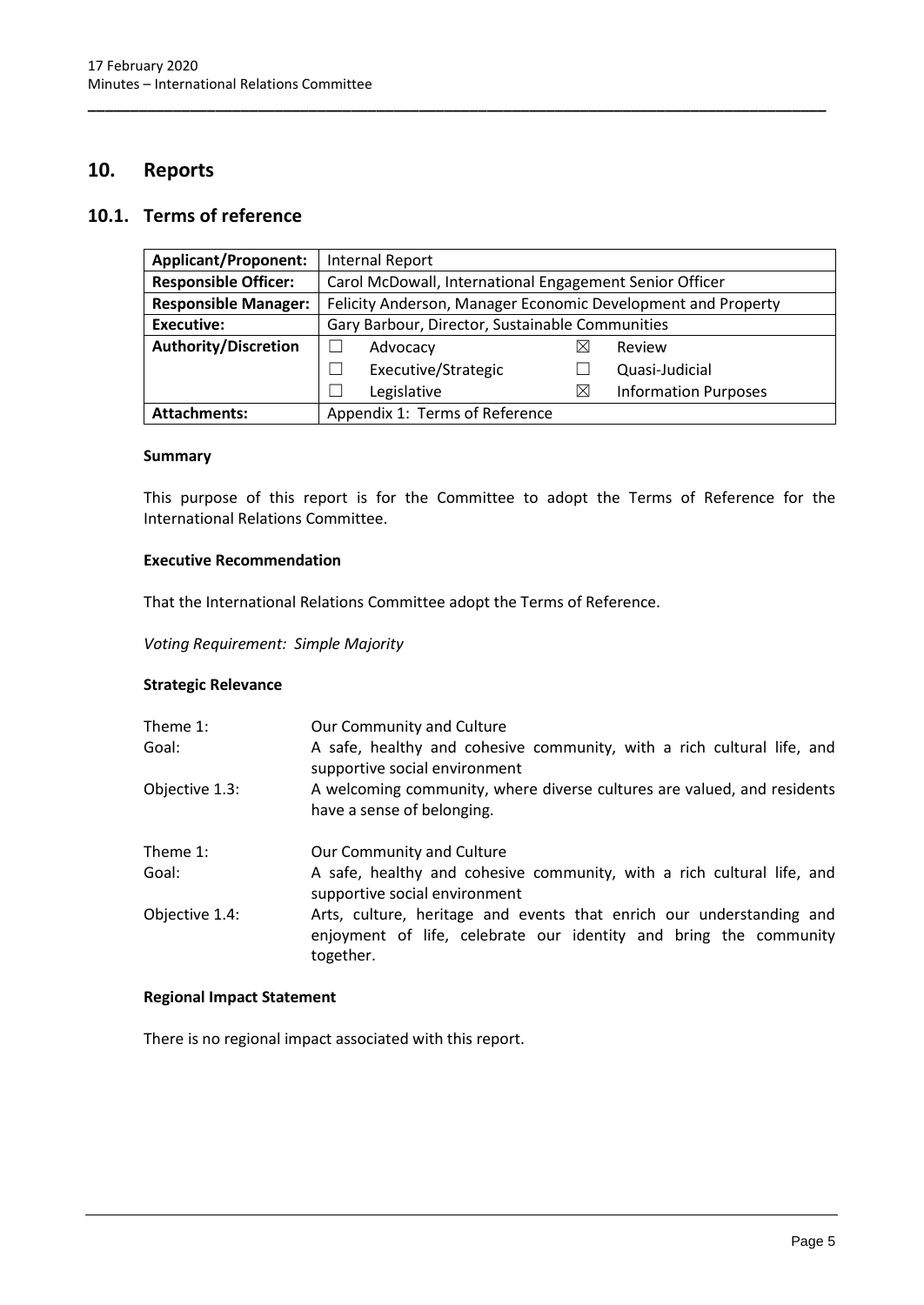# <span id="page-7-0"></span>**10. Reports**

# <span id="page-7-1"></span>**10.1. Terms of reference**

| <b>Applicant/Proponent:</b> | <b>Internal Report</b>                                       |   |                             |  |
|-----------------------------|--------------------------------------------------------------|---|-----------------------------|--|
| <b>Responsible Officer:</b> | Carol McDowall, International Engagement Senior Officer      |   |                             |  |
| <b>Responsible Manager:</b> | Felicity Anderson, Manager Economic Development and Property |   |                             |  |
| <b>Executive:</b>           | Gary Barbour, Director, Sustainable Communities              |   |                             |  |
| <b>Authority/Discretion</b> | Advocacy                                                     | ⋉ | Review                      |  |
|                             | Executive/Strategic                                          |   | Quasi-Judicial              |  |
|                             | Legislative                                                  | X | <b>Information Purposes</b> |  |
| <b>Attachments:</b>         | Appendix 1: Terms of Reference                               |   |                             |  |

**\_\_\_\_\_\_\_\_\_\_\_\_\_\_\_\_\_\_\_\_\_\_\_\_\_\_\_\_\_\_\_\_\_\_\_\_\_\_\_\_\_\_\_\_\_\_\_\_\_\_\_\_\_\_\_\_\_\_\_\_\_\_\_\_\_\_\_\_\_\_\_\_\_\_\_\_\_\_\_\_\_\_\_\_\_\_\_**

#### **Summary**

This purpose of this report is for the Committee to adopt the Terms of Reference for the International Relations Committee.

### **Executive Recommendation**

That the International Relations Committee adopt the Terms of Reference.

*Voting Requirement: Simple Majority* 

## **Strategic Relevance**

| Theme $1$ :<br>Goal: | Our Community and Culture<br>A safe, healthy and cohesive community, with a rich cultural life, and<br>supportive social environment                   |
|----------------------|--------------------------------------------------------------------------------------------------------------------------------------------------------|
| Objective 1.3:       | A welcoming community, where diverse cultures are valued, and residents<br>have a sense of belonging.                                                  |
| Theme 1:             | Our Community and Culture                                                                                                                              |
| Goal:                | A safe, healthy and cohesive community, with a rich cultural life, and<br>supportive social environment                                                |
| Objective 1.4:       | Arts, culture, heritage and events that enrich our understanding and<br>enjoyment of life, celebrate our identity and bring the community<br>together. |

## **Regional Impact Statement**

There is no regional impact associated with this report.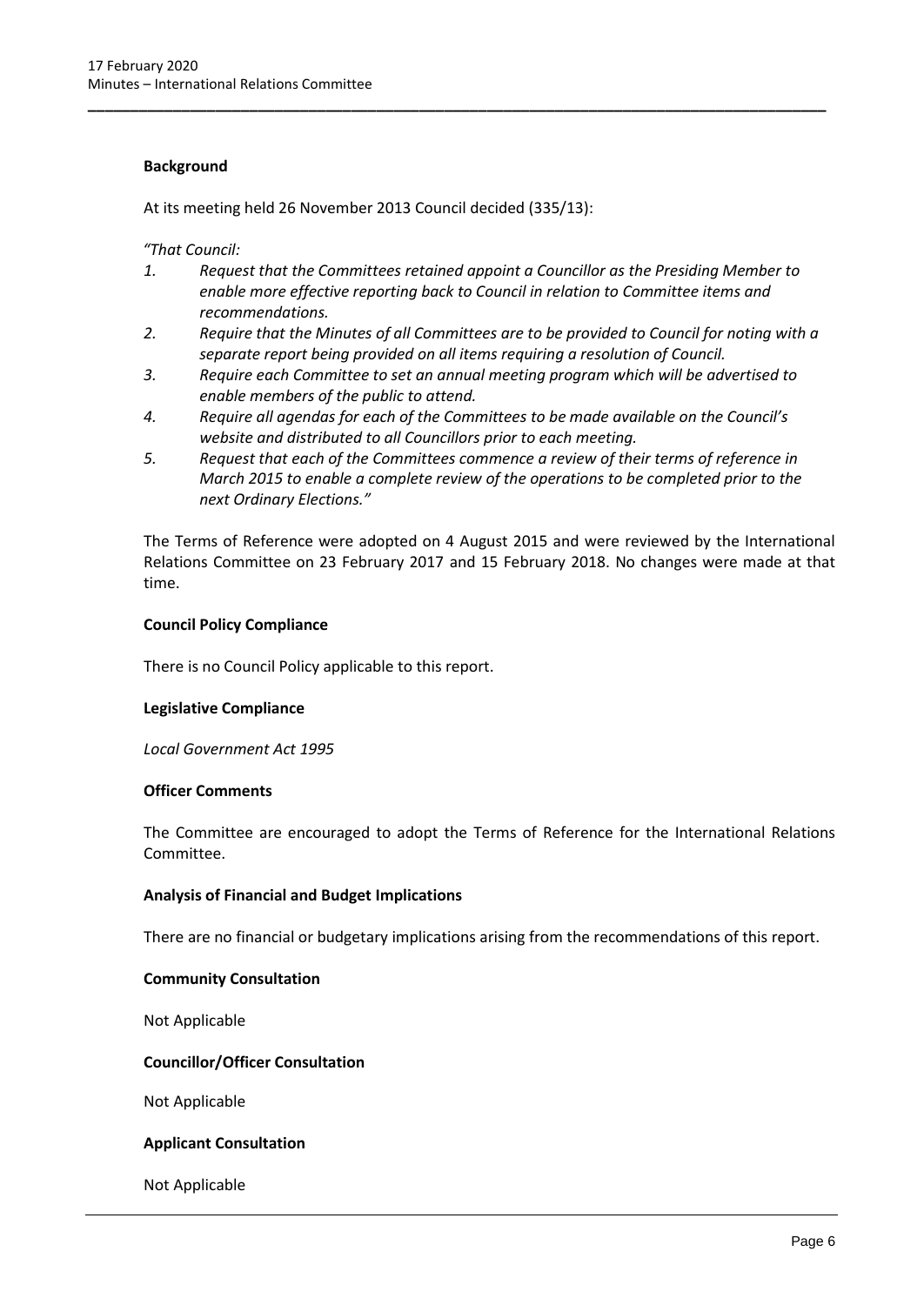## **Background**

At its meeting held 26 November 2013 Council decided (335/13):

*"That Council:*

*1. Request that the Committees retained appoint a Councillor as the Presiding Member to enable more effective reporting back to Council in relation to Committee items and recommendations.*

**\_\_\_\_\_\_\_\_\_\_\_\_\_\_\_\_\_\_\_\_\_\_\_\_\_\_\_\_\_\_\_\_\_\_\_\_\_\_\_\_\_\_\_\_\_\_\_\_\_\_\_\_\_\_\_\_\_\_\_\_\_\_\_\_\_\_\_\_\_\_\_\_\_\_\_\_\_\_\_\_\_\_\_\_\_\_\_**

- *2. Require that the Minutes of all Committees are to be provided to Council for noting with a separate report being provided on all items requiring a resolution of Council.*
- *3. Require each Committee to set an annual meeting program which will be advertised to enable members of the public to attend.*
- *4. Require all agendas for each of the Committees to be made available on the Council's website and distributed to all Councillors prior to each meeting.*
- *5. Request that each of the Committees commence a review of their terms of reference in March 2015 to enable a complete review of the operations to be completed prior to the next Ordinary Elections."*

The Terms of Reference were adopted on 4 August 2015 and were reviewed by the International Relations Committee on 23 February 2017 and 15 February 2018. No changes were made at that time.

## **Council Policy Compliance**

There is no Council Policy applicable to this report.

## **Legislative Compliance**

*Local Government Act 1995*

## **Officer Comments**

The Committee are encouraged to adopt the Terms of Reference for the International Relations Committee.

## **Analysis of Financial and Budget Implications**

There are no financial or budgetary implications arising from the recommendations of this report.

#### **Community Consultation**

Not Applicable

## **Councillor/Officer Consultation**

Not Applicable

#### **Applicant Consultation**

Not Applicable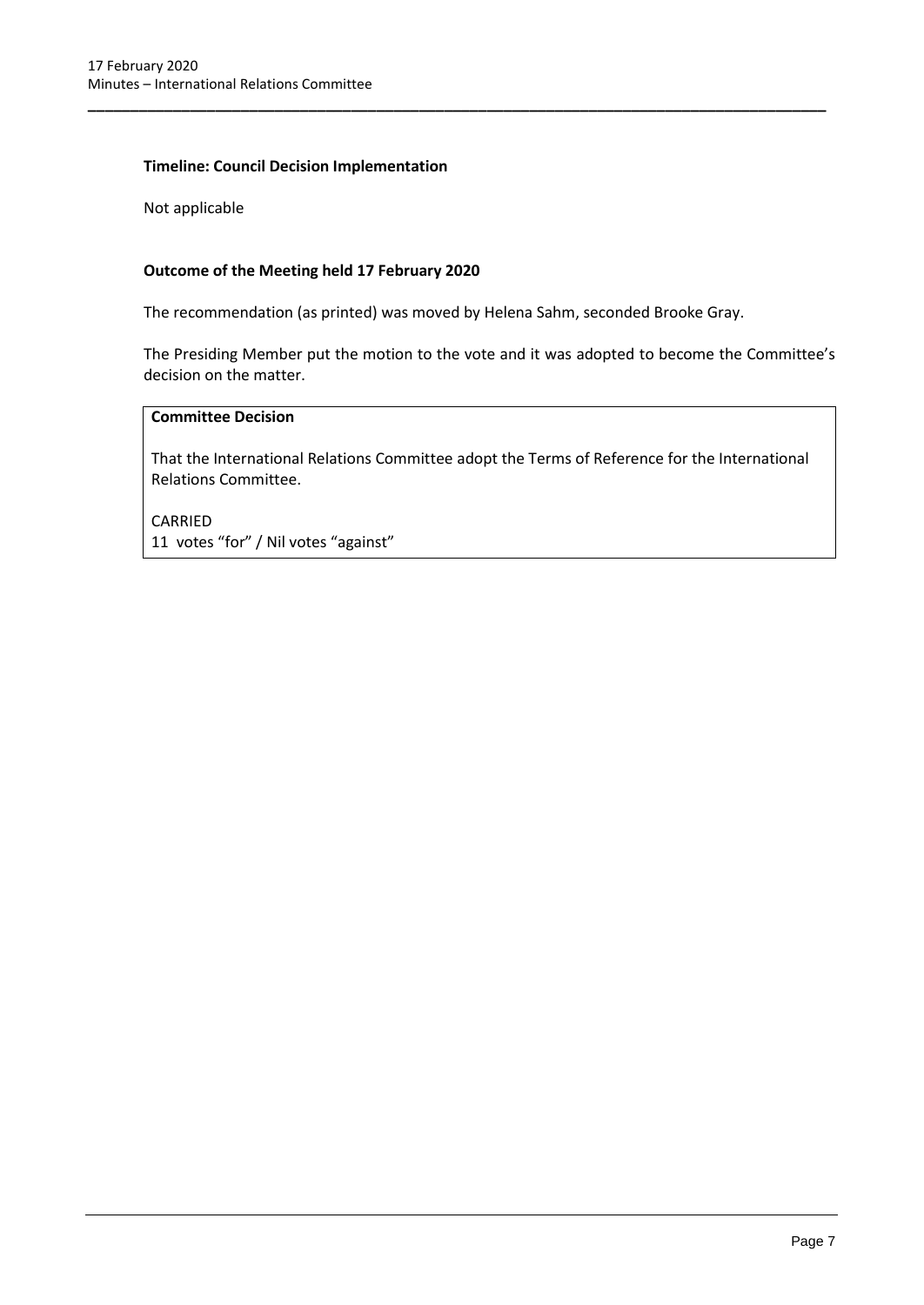## **Timeline: Council Decision Implementation**

Not applicable

## **Outcome of the Meeting held 17 February 2020**

The recommendation (as printed) was moved by Helena Sahm, seconded Brooke Gray.

**\_\_\_\_\_\_\_\_\_\_\_\_\_\_\_\_\_\_\_\_\_\_\_\_\_\_\_\_\_\_\_\_\_\_\_\_\_\_\_\_\_\_\_\_\_\_\_\_\_\_\_\_\_\_\_\_\_\_\_\_\_\_\_\_\_\_\_\_\_\_\_\_\_\_\_\_\_\_\_\_\_\_\_\_\_\_\_**

The Presiding Member put the motion to the vote and it was adopted to become the Committee's decision on the matter.

# **Committee Decision**

That the International Relations Committee adopt the Terms of Reference for the International Relations Committee.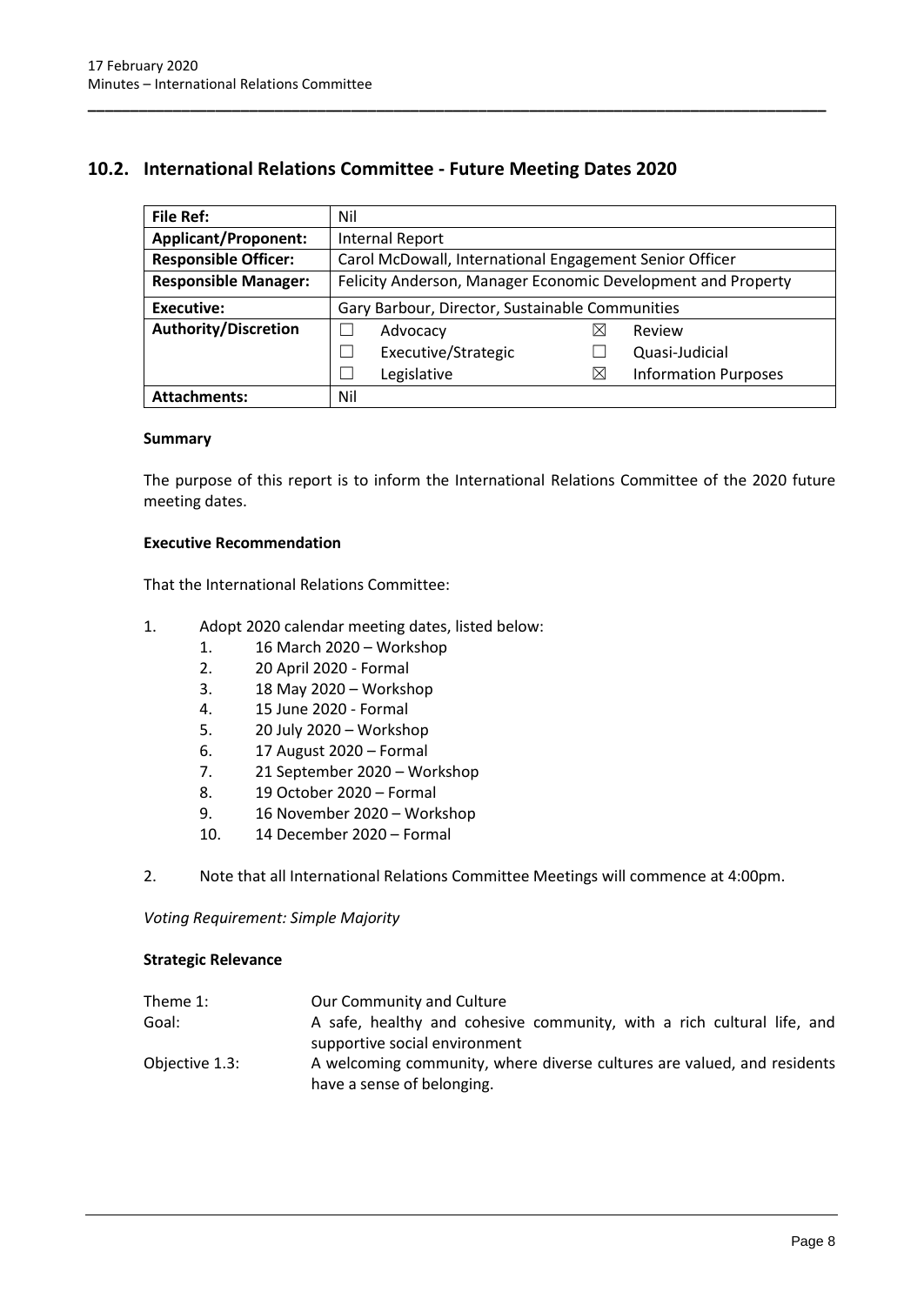# <span id="page-10-0"></span>**10.2. International Relations Committee - Future Meeting Dates 2020**

| <b>File Ref:</b>            | Nil                                                          |             |                             |  |
|-----------------------------|--------------------------------------------------------------|-------------|-----------------------------|--|
| <b>Applicant/Proponent:</b> | <b>Internal Report</b>                                       |             |                             |  |
| <b>Responsible Officer:</b> | Carol McDowall, International Engagement Senior Officer      |             |                             |  |
| <b>Responsible Manager:</b> | Felicity Anderson, Manager Economic Development and Property |             |                             |  |
| <b>Executive:</b>           | Gary Barbour, Director, Sustainable Communities              |             |                             |  |
| <b>Authority/Discretion</b> | Advocacy                                                     |             | Review                      |  |
|                             | Executive/Strategic                                          |             | Quasi-Judicial              |  |
|                             | Legislative                                                  | $\boxtimes$ | <b>Information Purposes</b> |  |
| <b>Attachments:</b>         | Nil                                                          |             |                             |  |

**\_\_\_\_\_\_\_\_\_\_\_\_\_\_\_\_\_\_\_\_\_\_\_\_\_\_\_\_\_\_\_\_\_\_\_\_\_\_\_\_\_\_\_\_\_\_\_\_\_\_\_\_\_\_\_\_\_\_\_\_\_\_\_\_\_\_\_\_\_\_\_\_\_\_\_\_\_\_\_\_\_\_\_\_\_\_\_**

#### **Summary**

The purpose of this report is to inform the International Relations Committee of the 2020 future meeting dates.

#### **Executive Recommendation**

That the International Relations Committee:

- 1. Adopt 2020 calendar meeting dates, listed below:
	- 1. 16 March 2020 Workshop
	- 2. 20 April 2020 Formal
	- 3. 18 May 2020 Workshop
	- 4. 15 June 2020 Formal
	- 5. 20 July 2020 Workshop
	- 6. 17 August 2020 Formal
	- 7. 21 September 2020 Workshop
	- 8. 19 October 2020 Formal
	- 9. 16 November 2020 Workshop
	- 10. 14 December 2020 Formal

2. Note that all International Relations Committee Meetings will commence at 4:00pm.

*Voting Requirement: Simple Majority* 

## **Strategic Relevance**

| Theme 1:       | Our Community and Culture                                               |
|----------------|-------------------------------------------------------------------------|
| Goal:          | A safe, healthy and cohesive community, with a rich cultural life, and  |
|                | supportive social environment                                           |
| Objective 1.3: | A welcoming community, where diverse cultures are valued, and residents |
|                | have a sense of belonging.                                              |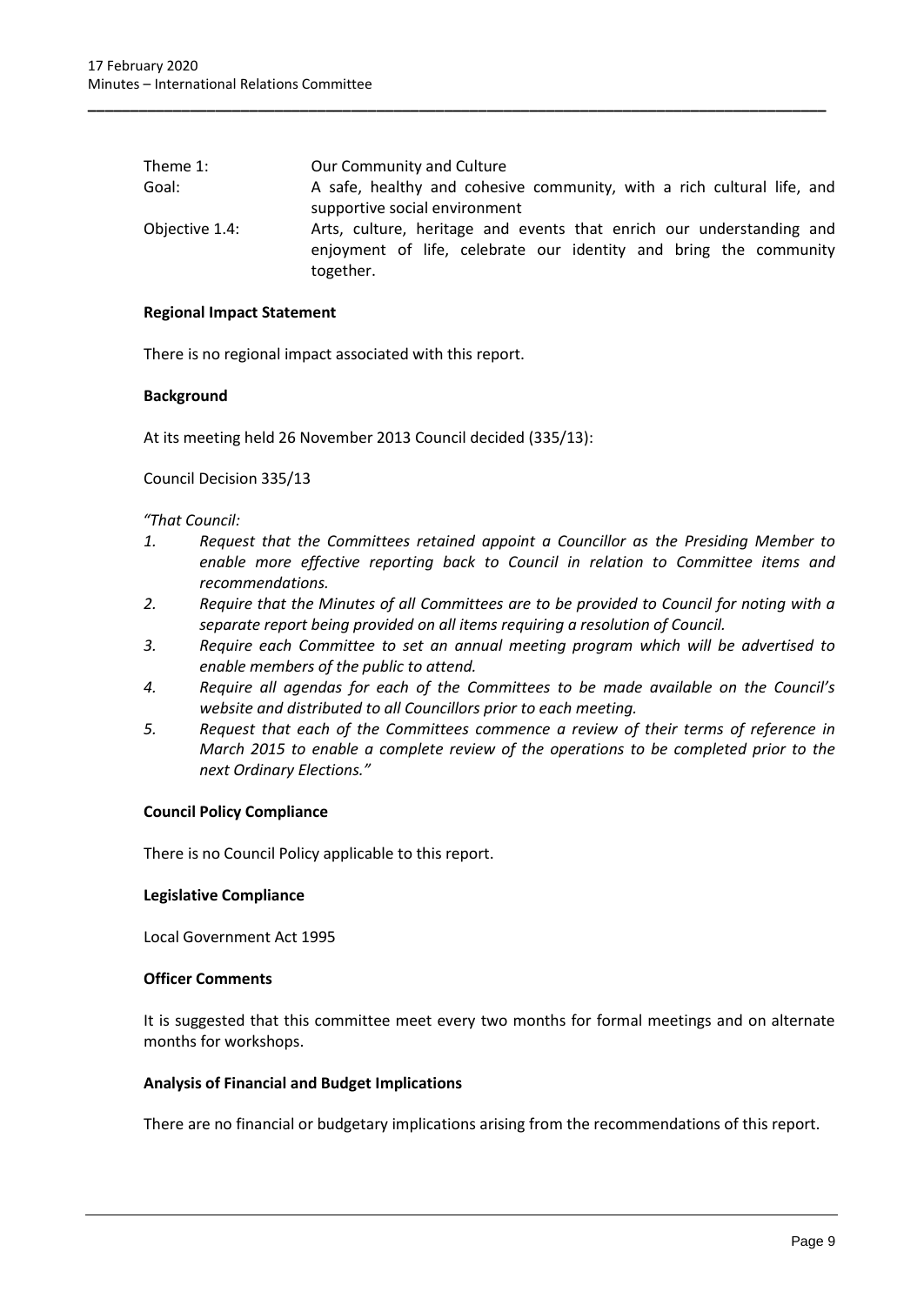| Theme 1:       | Our Community and Culture                                                                                                                              |
|----------------|--------------------------------------------------------------------------------------------------------------------------------------------------------|
| Goal:          | A safe, healthy and cohesive community, with a rich cultural life, and                                                                                 |
|                | supportive social environment                                                                                                                          |
| Objective 1.4: | Arts, culture, heritage and events that enrich our understanding and<br>enjoyment of life, celebrate our identity and bring the community<br>together. |

**\_\_\_\_\_\_\_\_\_\_\_\_\_\_\_\_\_\_\_\_\_\_\_\_\_\_\_\_\_\_\_\_\_\_\_\_\_\_\_\_\_\_\_\_\_\_\_\_\_\_\_\_\_\_\_\_\_\_\_\_\_\_\_\_\_\_\_\_\_\_\_\_\_\_\_\_\_\_\_\_\_\_\_\_\_\_\_**

#### **Regional Impact Statement**

There is no regional impact associated with this report.

## **Background**

At its meeting held 26 November 2013 Council decided (335/13):

Council Decision 335/13

## *"That Council:*

- *1. Request that the Committees retained appoint a Councillor as the Presiding Member to enable more effective reporting back to Council in relation to Committee items and recommendations.*
- *2. Require that the Minutes of all Committees are to be provided to Council for noting with a separate report being provided on all items requiring a resolution of Council.*
- *3. Require each Committee to set an annual meeting program which will be advertised to enable members of the public to attend.*
- *4. Require all agendas for each of the Committees to be made available on the Council's website and distributed to all Councillors prior to each meeting.*
- *5. Request that each of the Committees commence a review of their terms of reference in March 2015 to enable a complete review of the operations to be completed prior to the next Ordinary Elections."*

## **Council Policy Compliance**

There is no Council Policy applicable to this report.

#### **Legislative Compliance**

Local Government Act 1995

#### **Officer Comments**

It is suggested that this committee meet every two months for formal meetings and on alternate months for workshops.

#### **Analysis of Financial and Budget Implications**

There are no financial or budgetary implications arising from the recommendations of this report.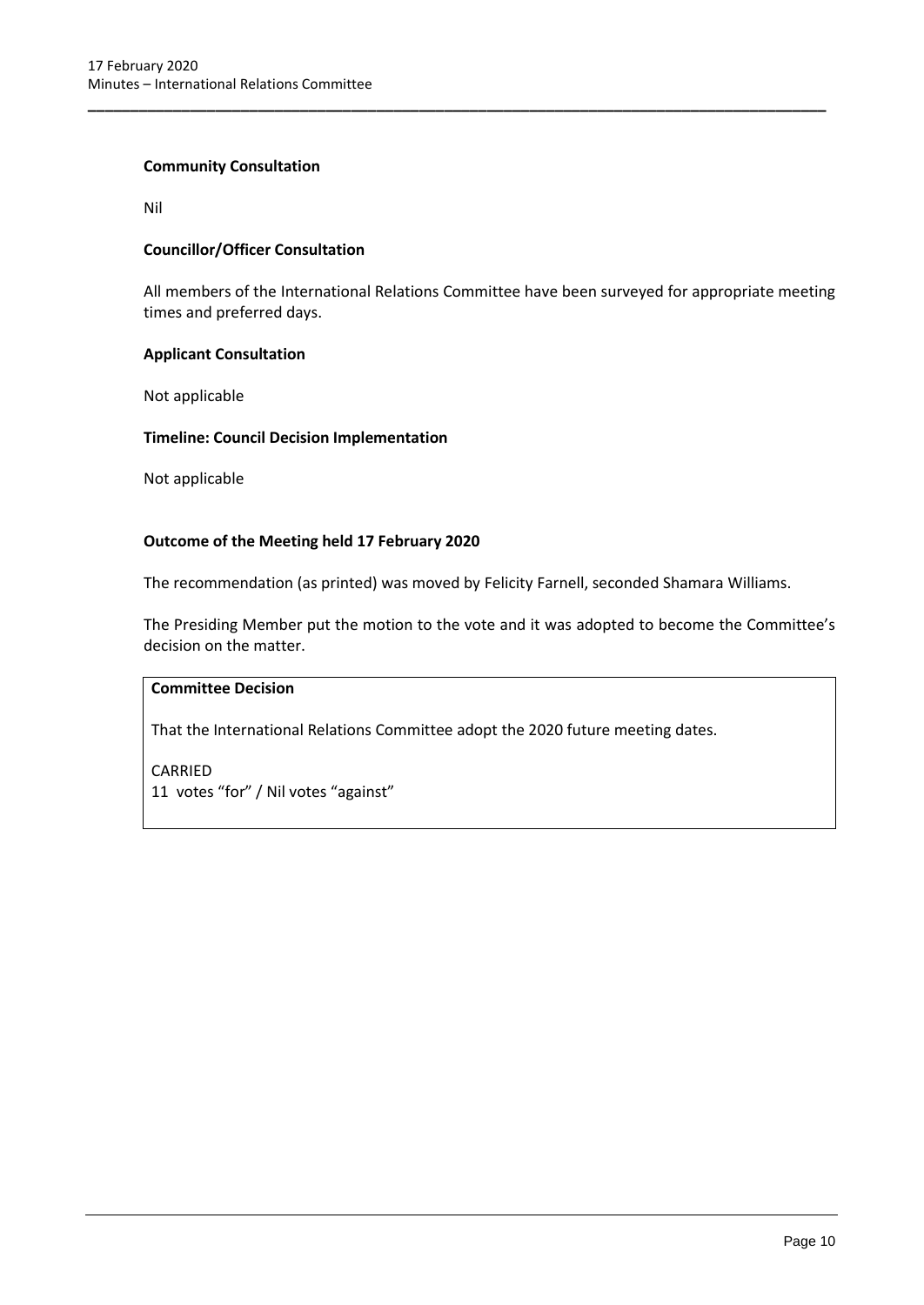### **Community Consultation**

Nil

## **Councillor/Officer Consultation**

All members of the International Relations Committee have been surveyed for appropriate meeting times and preferred days.

**\_\_\_\_\_\_\_\_\_\_\_\_\_\_\_\_\_\_\_\_\_\_\_\_\_\_\_\_\_\_\_\_\_\_\_\_\_\_\_\_\_\_\_\_\_\_\_\_\_\_\_\_\_\_\_\_\_\_\_\_\_\_\_\_\_\_\_\_\_\_\_\_\_\_\_\_\_\_\_\_\_\_\_\_\_\_\_**

#### **Applicant Consultation**

Not applicable

#### **Timeline: Council Decision Implementation**

Not applicable

## **Outcome of the Meeting held 17 February 2020**

The recommendation (as printed) was moved by Felicity Farnell, seconded Shamara Williams.

The Presiding Member put the motion to the vote and it was adopted to become the Committee's decision on the matter.

## **Committee Decision**

That the International Relations Committee adopt the 2020 future meeting dates.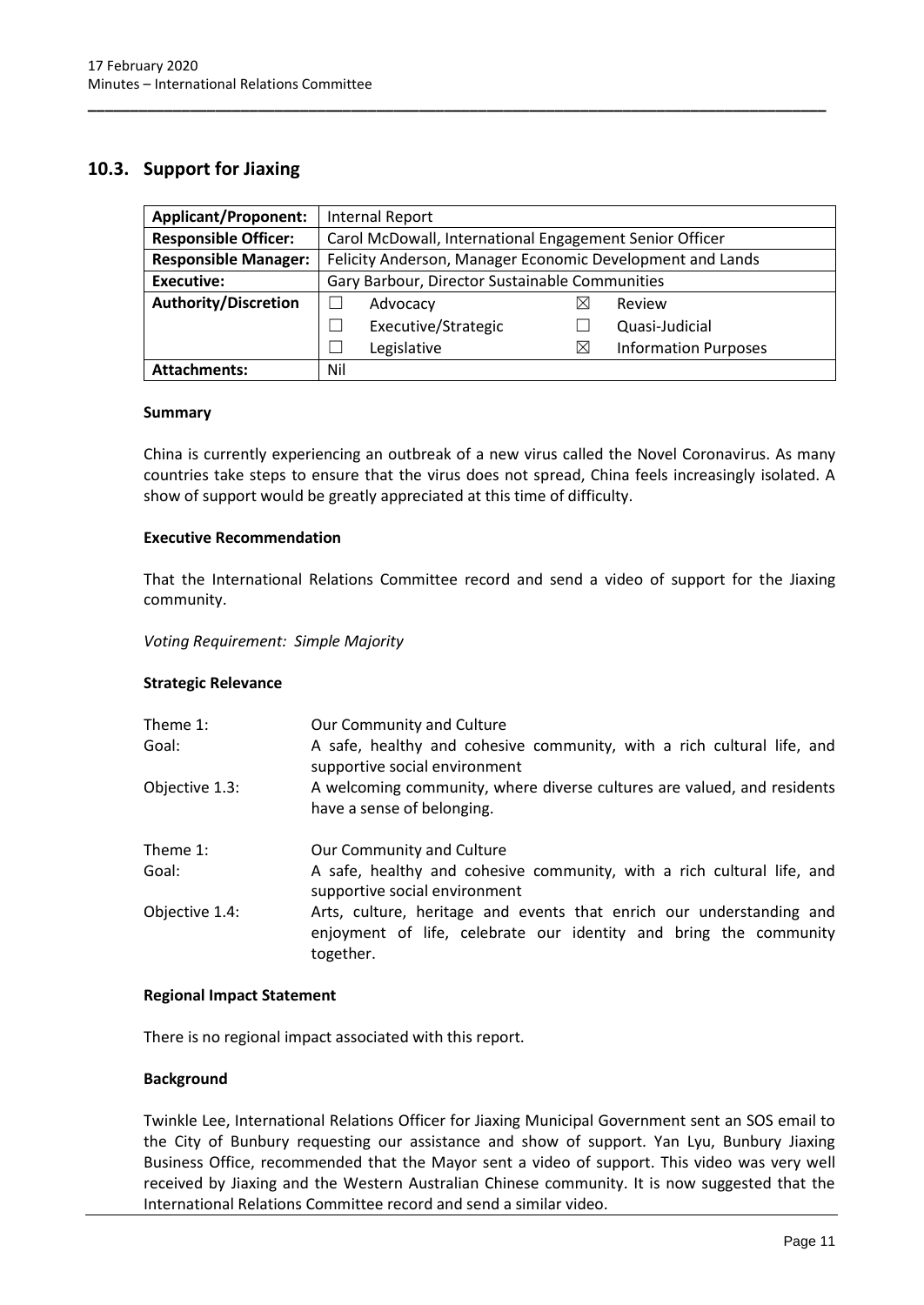# <span id="page-13-0"></span>**10.3. Support for Jiaxing**

| <b>Applicant/Proponent:</b> | <b>Internal Report</b>                                    |                     |   |                             |
|-----------------------------|-----------------------------------------------------------|---------------------|---|-----------------------------|
| <b>Responsible Officer:</b> | Carol McDowall, International Engagement Senior Officer   |                     |   |                             |
| <b>Responsible Manager:</b> | Felicity Anderson, Manager Economic Development and Lands |                     |   |                             |
| Executive:                  | Gary Barbour, Director Sustainable Communities            |                     |   |                             |
| <b>Authority/Discretion</b> |                                                           | Advocacy            | ⋈ | Review                      |
|                             |                                                           | Executive/Strategic |   | Quasi-Judicial              |
|                             |                                                           | Legislative         | X | <b>Information Purposes</b> |
| <b>Attachments:</b>         | Nil                                                       |                     |   |                             |

**\_\_\_\_\_\_\_\_\_\_\_\_\_\_\_\_\_\_\_\_\_\_\_\_\_\_\_\_\_\_\_\_\_\_\_\_\_\_\_\_\_\_\_\_\_\_\_\_\_\_\_\_\_\_\_\_\_\_\_\_\_\_\_\_\_\_\_\_\_\_\_\_\_\_\_\_\_\_\_\_\_\_\_\_\_\_\_**

#### **Summary**

China is currently experiencing an outbreak of a new virus called the Novel Coronavirus. As many countries take steps to ensure that the virus does not spread, China feels increasingly isolated. A show of support would be greatly appreciated at this time of difficulty.

#### **Executive Recommendation**

That the International Relations Committee record and send a video of support for the Jiaxing community.

*Voting Requirement: Simple Majority* 

## **Strategic Relevance**

| Theme $1$ :<br>Goal: | Our Community and Culture<br>A safe, healthy and cohesive community, with a rich cultural life, and<br>supportive social environment                   |
|----------------------|--------------------------------------------------------------------------------------------------------------------------------------------------------|
| Objective 1.3:       | A welcoming community, where diverse cultures are valued, and residents<br>have a sense of belonging.                                                  |
| Theme $1$ :<br>Goal: | Our Community and Culture<br>A safe, healthy and cohesive community, with a rich cultural life, and                                                    |
|                      | supportive social environment                                                                                                                          |
| Objective 1.4:       | Arts, culture, heritage and events that enrich our understanding and<br>enjoyment of life, celebrate our identity and bring the community<br>together. |

## **Regional Impact Statement**

There is no regional impact associated with this report.

## **Background**

Twinkle Lee, International Relations Officer for Jiaxing Municipal Government sent an SOS email to the City of Bunbury requesting our assistance and show of support. Yan Lyu, Bunbury Jiaxing Business Office, recommended that the Mayor sent a video of support. This video was very well received by Jiaxing and the Western Australian Chinese community. It is now suggested that the International Relations Committee record and send a similar video.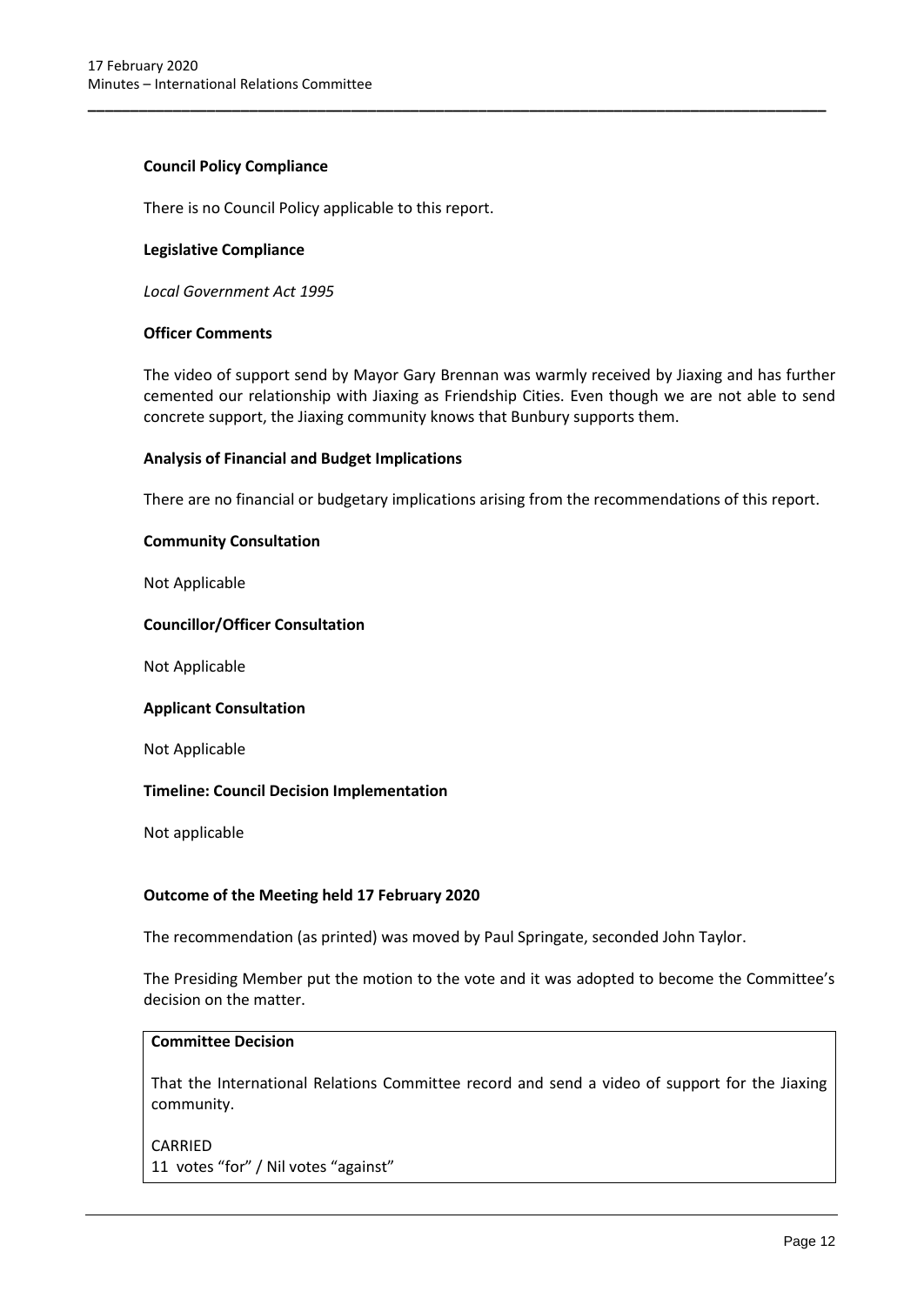## **Council Policy Compliance**

There is no Council Policy applicable to this report.

#### **Legislative Compliance**

*Local Government Act 1995*

### **Officer Comments**

The video of support send by Mayor Gary Brennan was warmly received by Jiaxing and has further cemented our relationship with Jiaxing as Friendship Cities. Even though we are not able to send concrete support, the Jiaxing community knows that Bunbury supports them.

**\_\_\_\_\_\_\_\_\_\_\_\_\_\_\_\_\_\_\_\_\_\_\_\_\_\_\_\_\_\_\_\_\_\_\_\_\_\_\_\_\_\_\_\_\_\_\_\_\_\_\_\_\_\_\_\_\_\_\_\_\_\_\_\_\_\_\_\_\_\_\_\_\_\_\_\_\_\_\_\_\_\_\_\_\_\_\_**

#### **Analysis of Financial and Budget Implications**

There are no financial or budgetary implications arising from the recommendations of this report.

#### **Community Consultation**

Not Applicable

#### **Councillor/Officer Consultation**

Not Applicable

#### **Applicant Consultation**

Not Applicable

## **Timeline: Council Decision Implementation**

Not applicable

## **Outcome of the Meeting held 17 February 2020**

The recommendation (as printed) was moved by Paul Springate, seconded John Taylor.

The Presiding Member put the motion to the vote and it was adopted to become the Committee's decision on the matter.

## **Committee Decision**

That the International Relations Committee record and send a video of support for the Jiaxing community.